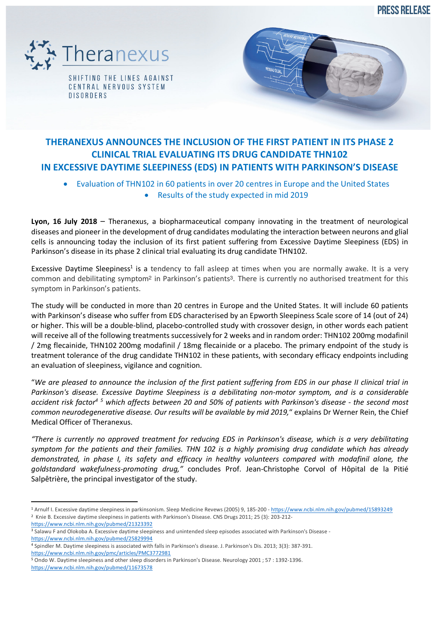**PRESS RELEASE** 



CENTRAL NERVOUS SYSTEM **DISORDERS** 



# **THERANEXUS ANNOUNCES THE INCLUSION OF THE FIRST PATIENT IN ITS PHASE 2 CLINICAL TRIAL EVALUATING ITS DRUG CANDIDATE THN102 IN EXCESSIVE DAYTIME SLEEPINESS (EDS) IN PATIENTS WITH PARKINSON'S DISEASE**

- Evaluation of THN102 in 60 patients in over 20 centres in Europe and the United States
	- Results of the study expected in mid 2019

**Lyon, 16 July 2018** – Theranexus, a biopharmaceutical company innovating in the treatment of neurological diseases and pioneer in the development of drug candidates modulating the interaction between neurons and glial cells is announcing today the inclusion of its first patient suffering from Excessive Daytime Sleepiness (EDS) in Parkinson's disease in its phase 2 clinical trial evaluating its drug candidate THN102.

Excessive Daytime Sleepiness<sup>1</sup> is a tendency to fall asleep at times when you are normally awake. It is a very common and debilitating symptom<sup>2</sup> in Parkinson's patients<sup>3</sup>. There is currently no authorised treatment for this symptom in Parkinson's patients.

The study will be conducted in more than 20 centres in Europe and the United States. It will include 60 patients with Parkinson's disease who suffer from EDS characterised by an Epworth Sleepiness Scale score of 14 (out of 24) or higher. This will be a double-blind, placebo-controlled study with crossover design, in other words each patient will receive all of the following treatments successively for 2 weeks and in random order: THN102 200mg modafinil / 2mg flecainide, THN102 200mg modafinil / 18mg flecainide or a placebo. The primary endpoint of the study is treatment tolerance of the drug candidate THN102 in these patients, with secondary efficacy endpoints including an evaluation of sleepiness, vigilance and cognition.

"*We are pleased to announce the inclusion of the first patient suffering from EDS in our phase II clinical trial in Parkinson's disease. Excessive Daytime Sleepiness is a debilitating non-motor symptom, and is a considerable accident risk factor4 <sup>5</sup> which affects between 20 and 50% of patients with Parkinson's disease - the second most common neurodegenerative disease. Our results will be available by mid 2019,*" explains Dr Werner Rein, the Chief Medical Officer of Theranexus.

*"There is currently no approved treatment for reducing EDS in Parkinson's disease, which is a very debilitating symptom for the patients and their families. THN 102 is a highly promising drug candidate which has already demonstrated, in phase I, its safety and efficacy in healthy volunteers compared with modafinil alone, the goldstandard wakefulness-promoting drug,"* concludes Prof. Jean-Christophe Corvol of Hôpital de la Pitié Salpêtrière, the principal investigator of the study.

 <sup>1</sup> Arnulf I. Excessive daytime sleepiness in parkinsonism. Sleep Medicine Revews (2005) 9, 185-200 - https://www.ncbi.nlm.nih.gov/pubmed/15893249 <sup>2</sup> Knie B. Excessive daytime sleepiness in patients with Parkinson's Disease. CNS Drugs 2011; 25 (3): 203-212-

https://www.ncbi.nlm.nih.gov/pubmed/21323392

<sup>&</sup>lt;sup>3</sup> Salawu F and Olokoba A. Excessive daytime sleepiness and unintended sleep episodes associated with Parkinson's Disease https://www.ncbi.nlm.nih.gov/pubmed/25829994

<sup>4</sup> Spindler M. Daytime sleepiness is associated with falls in Parkinson's disease. J. Parkinson's Dis. 2013; 3(3): 387-391. https://www.ncbi.nlm.nih.gov/pmc/articles/PMC3772981<br><sup>5</sup> Ondo W. Daytime sleepiness and other sleep disorders in Parkinson's Disease. Neurology 2001 : 57 : 1392-1396.

https://www.ncbi.nlm.nih.gov/pubmed/11673578